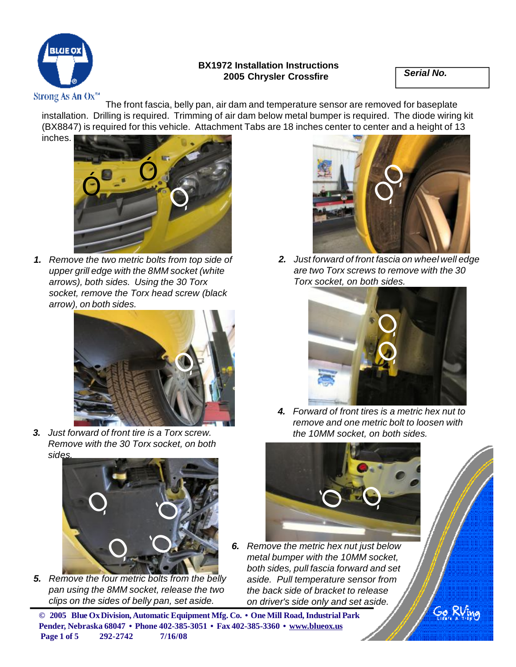

## **BX1972 Installation Instructions 2005 Chrysler Crossfire** *Serial No.*

The front fascia, belly pan, air dam and temperature sensor are removed for baseplate installation. Drilling is required. Trimming of air dam below metal bumper is required. The diode wiring kit (BX8847) is required for this vehicle. Attachment Tabs are 18 inches center to center and a height of 13 inches.



*1. Remove the two metric bolts from top side of upper grill edge with the 8MM socket (white arrows), both sides. Using the 30 Torx socket, remove the Torx head screw (black arrow), on both sides.*



*3. Just forward of front tire is a Torx screw. Remove with the 30 Torx socket, on both sides.*



*5. Remove the four metric bolts from the belly pan using the 8MM socket, release the two clips on the sides of belly pan, set aside.*



*2. Just forward of front fascia on wheel well edge are two Torx screws to remove with the 30 Torx socket, on both sides.*



*4. Forward of front tires is a metric hex nut to remove and one metric bolt to loosen with the 10MM socket, on both sides.*



*6. Remove the metric hex nut just below metal bumper with the 10MM socket, both sides, pull fascia forward and set aside. Pull temperature sensor from the back side of bracket to release on driver's side only and set aside.*

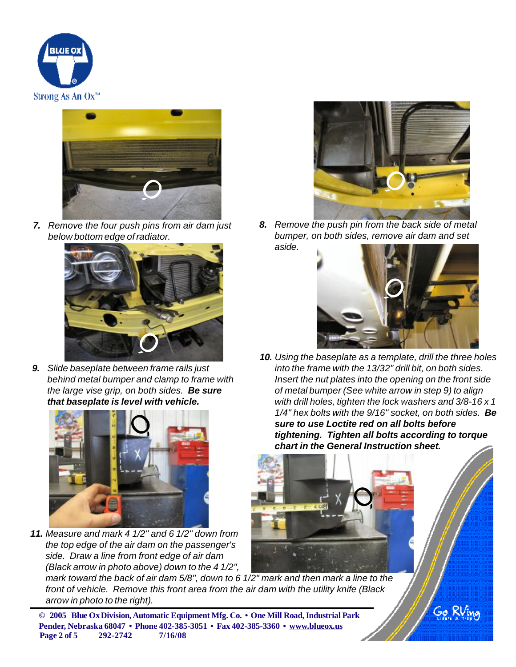



*7. Remove the four push pins from air dam just below bottom edge ofradiator.*



*9. Slide baseplate between frame rails just behind metal bumper and clamp to frame with the large vise grip, on both sides. Be sure that baseplate is level with vehicle.*



*11. Measure and mark 4 1/2" and 6 1/2" down from the top edge of the air dam on the passenger's side. Draw a line from front edge of air dam (Black arrow in photo above) down to the 4 1/2",*



*8. Remove the push pin from the back side of metal bumper, on both sides, remove air dam and set aside.*



*10. Using the baseplate as a template, drill the three holes into the frame with the 13/32" drill bit, on both sides. Insert the nut plates into the opening on the front side of metal bumper (See white arrow in step 9) to align with drill holes, tighten the lock washers and 3/8-16 x 1 1/4" hex bolts with the 9/16" socket, on both sides. Be sure to use Loctite red on all bolts before tightening. Tighten all bolts according to torque chart in the General Instruction sheet.*



mark toward the back of air dam 5/8", down to 6 1/2" mark and then mark a line to the *front of vehicle. Remove this front area from the air dam with the utility knife (Black arrow in photo to the right).*

**© 2005 Blue OxDivision, Automatic Equipment Mfg. Co. • One Mill Road,Industrial Park Pender, Nebraska 68047 • Phone 402-385-3051 • Fax 402-385-3360 • [www.blueox.us](http://www.blueox.us) Page 2 of 5 292-2742 7/16/08**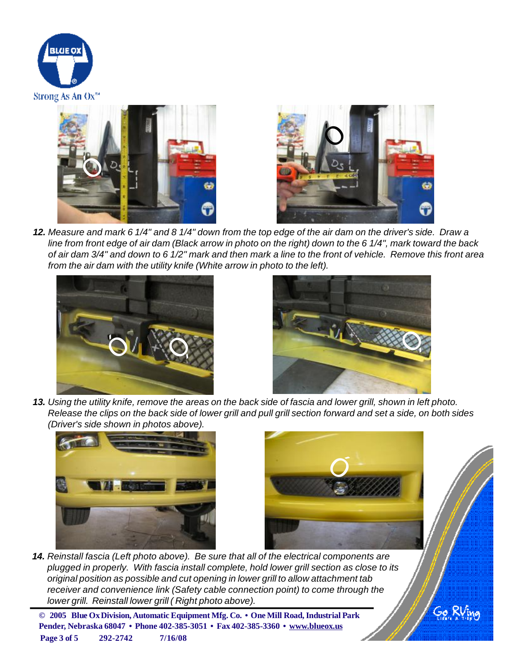





12. Measure and mark 6 1/4" and 8 1/4" down from the top edge of the air dam on the driver's side. Draw a line from front edge of air dam (Black arrow in photo on the right) down to the 6 1/4", mark toward the back of air dam 3/4" and down to 6 1/2" mark and then mark a line to the front of vehicle. Remove this front area *from the air dam with the utility knife (White arrow in photo to the left).*





13. Using the utility knife, remove the areas on the back side of fascia and lower grill, shown in left photo. Release the clips on the back side of lower grill and pull grill section forward and set a side, on both sides *(Driver's side shown in photos above).*





Go Ri

*14. Reinstall fascia (Left photo above). Be sure that all of the electrical components are plugged in properly. With fascia install complete, hold lower grill section as close to its original position as possible and cut opening in lower grill to allow attachment tab receiver and convenience link (Safety cable connection point) to come through the lower grill. Reinstall lower grill ( Right photo above).*

**© 2005 Blue OxDivision, Automatic Equipment Mfg. Co. • One Mill Road,Industrial Park Pender, Nebraska 68047 • Phone 402-385-3051 • Fax 402-385-3360 • [www.blueox.us](http://www.blueox.us) Page 3 of 5 292-2742 7/16/08**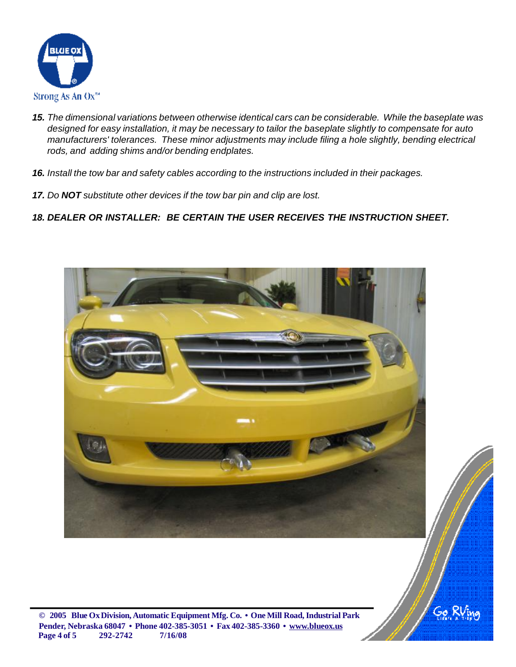

- *15. The dimensional variations between otherwise identical cars can be considerable. While the baseplate was* designed for easy installation, it may be necessary to tailor the baseplate slightly to compensate for auto *manufacturers' tolerances. These minor adjustments may include filing a hole slightly, bending electrical rods, and adding shims and/or bending endplates.*
- *16. Install the tow bar and safety cables according to the instructions included in their packages.*
- *17. Do NOT substitute other devices if the tow bar pin and clip are lost.*
- *18. DEALER OR INSTALLER: BE CERTAIN THE USER RECEIVES THE INSTRUCTION SHEET.*





**© 2005 Blue OxDivision, Automatic Equipment Mfg. Co. • One Mill Road,Industrial Park Pender, Nebraska 68047 • Phone 402-385-3051 • Fax 402-385-3360 • [www.blueox.us](http://www.blueox.us) Page 4 of 5 292-2742 7/16/08**